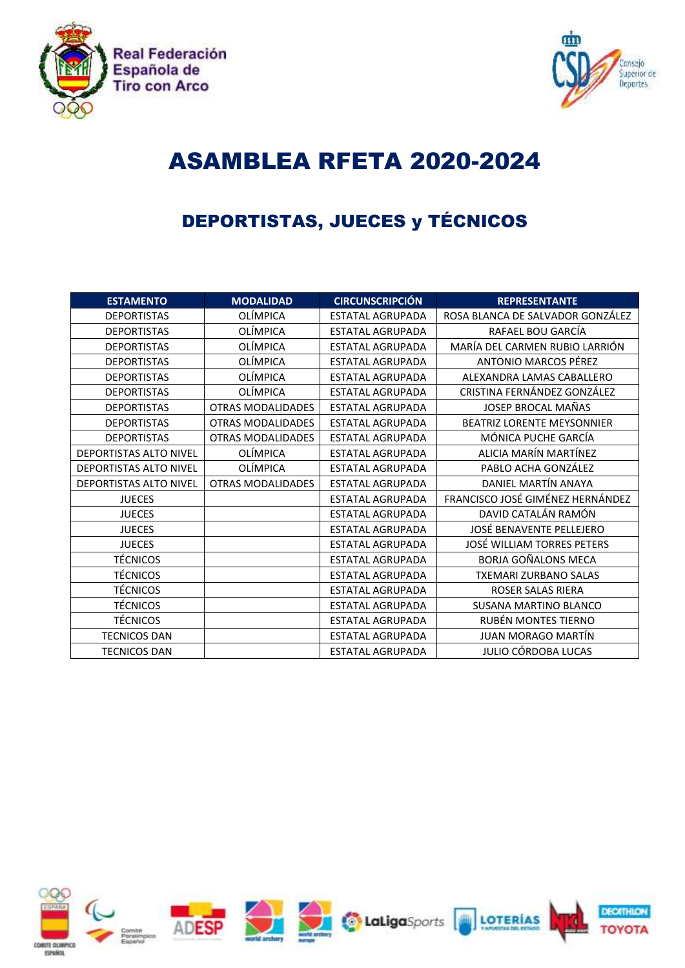



## ASAMBLEA RFETA 2020-2024

## DEPORTISTAS, JUECES y TÉCNICOS

| <b>ESTAMENTO</b>              | <b>MODALIDAD</b>         | <b>CIRCUNSCRIPCIÓN</b>  | <b>REPRESENTANTE</b>              |
|-------------------------------|--------------------------|-------------------------|-----------------------------------|
| <b>DEPORTISTAS</b>            | <b>OLÍMPICA</b>          | <b>ESTATAL AGRUPADA</b> | ROSA BLANCA DE SALVADOR GONZÁLEZ  |
| <b>DEPORTISTAS</b>            | OLÍMPICA                 | <b>ESTATAL AGRUPADA</b> | RAFAEL BOU GARCÍA                 |
| <b>DEPORTISTAS</b>            | OLÍMPICA                 | <b>ESTATAL AGRUPADA</b> | MARÍA DEL CARMEN RUBIO LARRIÓN    |
| <b>DEPORTISTAS</b>            | OLÍMPICA                 | <b>ESTATAL AGRUPADA</b> | ANTONIO MARCOS PÉREZ              |
| <b>DEPORTISTAS</b>            | OLÍMPICA                 | <b>ESTATAL AGRUPADA</b> | ALEXANDRA LAMAS CABALLERO         |
| <b>DEPORTISTAS</b>            | OLÍMPICA                 | <b>ESTATAL AGRUPADA</b> | CRISTINA FERNÁNDEZ GONZÁLEZ       |
| <b>DEPORTISTAS</b>            | <b>OTRAS MODALIDADES</b> | <b>ESTATAL AGRUPADA</b> | JOSEP BROCAL MAÑAS                |
| <b>DEPORTISTAS</b>            | <b>OTRAS MODALIDADES</b> | <b>ESTATAL AGRUPADA</b> | <b>BEATRIZ LORENTE MEYSONNIER</b> |
| <b>DEPORTISTAS</b>            | <b>OTRAS MODALIDADES</b> | <b>ESTATAL AGRUPADA</b> | MÓNICA PUCHE GARCÍA               |
| <b>DEPORTISTAS ALTO NIVEL</b> | OLÍMPICA                 | <b>ESTATAL AGRUPADA</b> | ALICIA MARÍN MARTÍNEZ             |
| <b>DEPORTISTAS ALTO NIVEL</b> | <b>OLÍMPICA</b>          | <b>ESTATAL AGRUPADA</b> | PABLO ACHA GONZÁLEZ               |
| <b>DEPORTISTAS ALTO NIVEL</b> | OTRAS MODALIDADES        | <b>ESTATAL AGRUPADA</b> | DANIEL MARTÍN ANAYA               |
| <b>JUECES</b>                 |                          | <b>ESTATAL AGRUPADA</b> | FRANCISCO JOSÉ GIMÉNEZ HERNÁNDEZ  |
| <b>JUECES</b>                 |                          | <b>ESTATAL AGRUPADA</b> | DAVID CATALÁN RAMÓN               |
| <b>JUECES</b>                 |                          | <b>ESTATAL AGRUPADA</b> | JOSÉ BENAVENTE PELLEJERO          |
| <b>JUECES</b>                 |                          | <b>ESTATAL AGRUPADA</b> | JOSÉ WILLIAM TORRES PETERS        |
| <b>TÉCNICOS</b>               |                          | <b>ESTATAL AGRUPADA</b> | <b>BORJA GOÑALONS MECA</b>        |
| <b>TÉCNICOS</b>               |                          | <b>ESTATAL AGRUPADA</b> | <b>TXEMARI ZURBANO SALAS</b>      |
| <b>TÉCNICOS</b>               |                          | <b>ESTATAL AGRUPADA</b> | <b>ROSER SALAS RIERA</b>          |
| <b>TÉCNICOS</b>               |                          | <b>ESTATAL AGRUPADA</b> | <b>SUSANA MARTINO BLANCO</b>      |
| <b>TÉCNICOS</b>               |                          | <b>ESTATAL AGRUPADA</b> | RUBÉN MONTES TIERNO               |
| <b>TECNICOS DAN</b>           |                          | <b>ESTATAL AGRUPADA</b> | <b>JUAN MORAGO MARTÍN</b>         |
| <b>TECNICOS DAN</b>           |                          | <b>ESTATAL AGRUPADA</b> | JULIO CÓRDOBA LUCAS               |

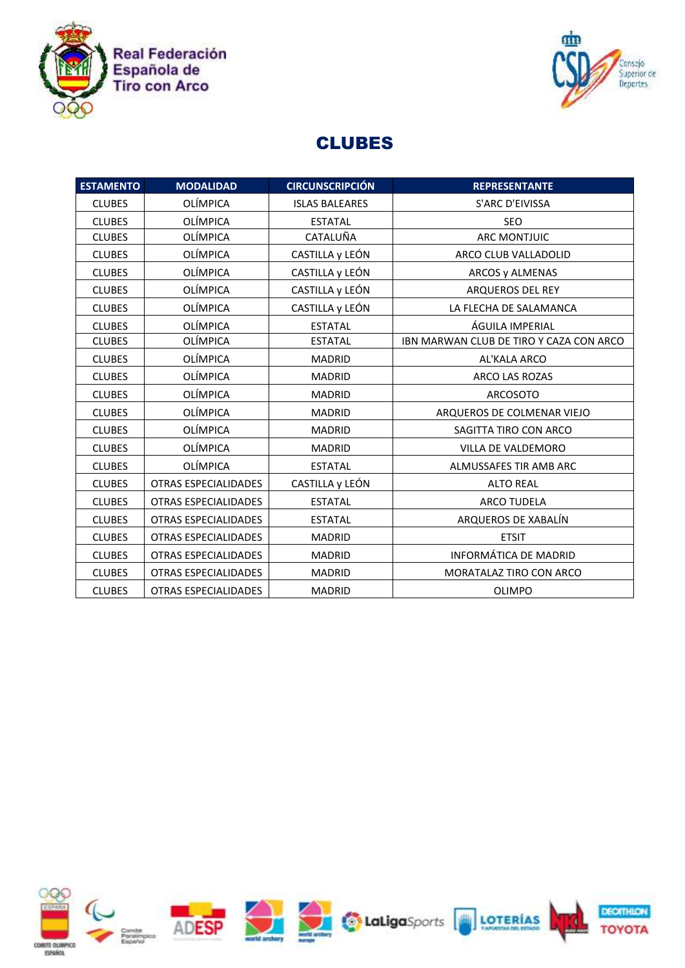



## CLUBES

| <b>ESTAMENTO</b> | <b>MODALIDAD</b>            | <b>CIRCUNSCRIPCIÓN</b> | <b>REPRESENTANTE</b>                    |
|------------------|-----------------------------|------------------------|-----------------------------------------|
| <b>CLUBES</b>    | <b>OLÍMPICA</b>             | <b>ISLAS BALEARES</b>  | S'ARC D'EIVISSA                         |
| <b>CLUBES</b>    | <b>OLÍMPICA</b>             | <b>ESTATAL</b>         | <b>SEO</b>                              |
| <b>CLUBES</b>    | <b>OLÍMPICA</b>             | CATALUÑA               | <b>ARC MONTJUIC</b>                     |
| <b>CLUBES</b>    | <b>OLÍMPICA</b>             | CASTILLA y LEÓN        | ARCO CLUB VALLADOLID                    |
| <b>CLUBES</b>    | <b>OLÍMPICA</b>             | CASTILLA y LEÓN        | ARCOS y ALMENAS                         |
| <b>CLUBES</b>    | <b>OLÍMPICA</b>             | CASTILLA y LEÓN        | ARQUEROS DEL REY                        |
| <b>CLUBES</b>    | OLÍMPICA                    | CASTILLA y LEÓN        | LA FLECHA DE SALAMANCA                  |
| <b>CLUBES</b>    | <b>OLÍMPICA</b>             | <b>ESTATAL</b>         | ÁGUILA IMPERIAL                         |
| <b>CLUBES</b>    | <b>OLÍMPICA</b>             | <b>ESTATAL</b>         | IBN MARWAN CLUB DE TIRO Y CAZA CON ARCO |
| <b>CLUBES</b>    | <b>OLÍMPICA</b>             | <b>MADRID</b>          | AL'KALA ARCO                            |
| <b>CLUBES</b>    | <b>OLÍMPICA</b>             | <b>MADRID</b>          | <b>ARCO LAS ROZAS</b>                   |
| <b>CLUBES</b>    | <b>OLÍMPICA</b>             | <b>MADRID</b>          | <b>ARCOSOTO</b>                         |
| <b>CLUBES</b>    | <b>OLÍMPICA</b>             | <b>MADRID</b>          | ARQUEROS DE COLMENAR VIEJO              |
| <b>CLUBES</b>    | <b>OLÍMPICA</b>             | <b>MADRID</b>          | SAGITTA TIRO CON ARCO                   |
| <b>CLUBES</b>    | <b>OLÍMPICA</b>             | <b>MADRID</b>          | VILLA DE VALDEMORO                      |
| <b>CLUBES</b>    | <b>OLÍMPICA</b>             | <b>ESTATAL</b>         | ALMUSSAFES TIR AMB ARC                  |
| <b>CLUBES</b>    | <b>OTRAS ESPECIALIDADES</b> | CASTILLA y LEÓN        | <b>ALTO REAL</b>                        |
| <b>CLUBES</b>    | OTRAS ESPECIALIDADES        | <b>ESTATAL</b>         | <b>ARCO TUDELA</b>                      |
| <b>CLUBES</b>    | <b>OTRAS ESPECIALIDADES</b> | <b>ESTATAL</b>         | ARQUEROS DE XABALÍN                     |
| <b>CLUBES</b>    | <b>OTRAS ESPECIALIDADES</b> | <b>MADRID</b>          | <b>ETSIT</b>                            |
| <b>CLUBES</b>    | OTRAS ESPECIALIDADES        | <b>MADRID</b>          | <b>INFORMÁTICA DE MADRID</b>            |
| <b>CLUBES</b>    | <b>OTRAS ESPECIALIDADES</b> | <b>MADRID</b>          | MORATALAZ TIRO CON ARCO                 |
| <b>CLUBES</b>    | <b>OTRAS ESPECIALIDADES</b> | <b>MADRID</b>          | <b>OLIMPO</b>                           |